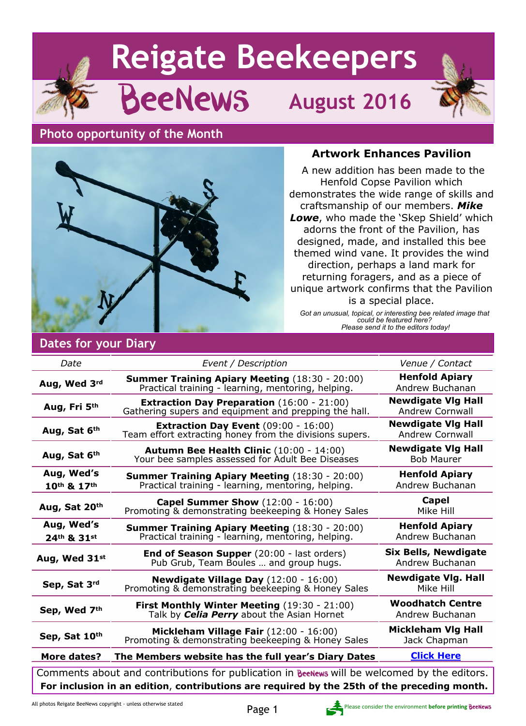# **Reigate Beekeepers**

# BeeNews **August 2016**

### **Photo opportunity of the Month**



### **Artwork Enhances Pavilion**

 A new addition has been made to the Henfold Copse Pavilion which demonstrates the wide range of skills and craftsmanship of our members. *Mike Lowe*, who made the 'Skep Shield' which adorns the front of the Pavilion, has designed, made, and installed this bee themed wind vane. It provides the wind direction, perhaps a land mark for returning foragers, and as a piece of unique artwork confirms that the Pavilion is a special place.

*Got an unusual, topical, or interesting bee related image that could be featured here? Please send it to the editors today!*

### **Dates for your Diary**

| Date                                                                                                                                                                                        | Event / Description                                                                                         | Venue / Contact                                     |
|---------------------------------------------------------------------------------------------------------------------------------------------------------------------------------------------|-------------------------------------------------------------------------------------------------------------|-----------------------------------------------------|
| Aug, Wed 3rd                                                                                                                                                                                | <b>Summer Training Apiary Meeting (18:30 - 20:00)</b><br>Practical training - learning, mentoring, helping. | <b>Henfold Apiary</b><br>Andrew Buchanan            |
| Aug, Fri 5th                                                                                                                                                                                | <b>Extraction Day Preparation</b> (16:00 - 21:00)<br>Gathering supers and equipment and prepping the hall.  | <b>Newdigate VIg Hall</b><br><b>Andrew Cornwall</b> |
| Aug, Sat 6th                                                                                                                                                                                | <b>Extraction Day Event</b> $(09:00 - 16:00)$<br>Team effort extracting honey from the divisions supers.    | <b>Newdigate VIg Hall</b><br><b>Andrew Cornwall</b> |
| Aug, Sat 6th                                                                                                                                                                                | Autumn Bee Health Clinic (10:00 - 14:00)<br>Your bee samples assessed for Adult Bee Diseases                | <b>Newdigate VIg Hall</b><br><b>Bob Maurer</b>      |
| Aug, Wed's<br>10th & 17th                                                                                                                                                                   | <b>Summer Training Apiary Meeting (18:30 - 20:00)</b><br>Practical training - learning, mentoring, helping. | <b>Henfold Apiary</b><br>Andrew Buchanan            |
| Aug, Sat 20th                                                                                                                                                                               | <b>Capel Summer Show (12:00 - 16:00)</b><br>Promoting & demonstrating beekeeping & Honey Sales              | Capel<br>Mike Hill                                  |
| Aug, Wed's<br>24th & 31st                                                                                                                                                                   | <b>Summer Training Apiary Meeting (18:30 - 20:00)</b><br>Practical training - learning, mentoring, helping. | <b>Henfold Apiary</b><br>Andrew Buchanan            |
| Aug, Wed 31st                                                                                                                                                                               | End of Season Supper (20:00 - last orders)<br>Pub Grub, Team Boules  and group hugs.                        | <b>Six Bells, Newdigate</b><br>Andrew Buchanan      |
| Sep, Sat 3rd                                                                                                                                                                                | Newdigate Village Day (12:00 - 16:00)<br>Promoting & demonstrating beekeeping & Honey Sales                 | <b>Newdigate Vlg. Hall</b><br>Mike Hill             |
| Sep, Wed 7th                                                                                                                                                                                | First Monthly Winter Meeting (19:30 - 21:00)<br>Talk by <b>Celia Perry</b> about the Asian Hornet           | <b>Woodhatch Centre</b><br>Andrew Buchanan          |
| Sep, Sat 10th                                                                                                                                                                               | Mickleham Village Fair (12:00 - 16:00)<br>Promoting & demonstrating beekeeping & Honey Sales                | <b>Mickleham Vlg Hall</b><br>Jack Chapman           |
| More dates?                                                                                                                                                                                 | The Members website has the full year's Diary Dates                                                         | <b>Click Here</b>                                   |
| Comments about and contributions for publication in BeeNews will be welcomed by the editors.<br>For inclusion in an edition, contributions are required by the 25th of the preceding month. |                                                                                                             |                                                     |

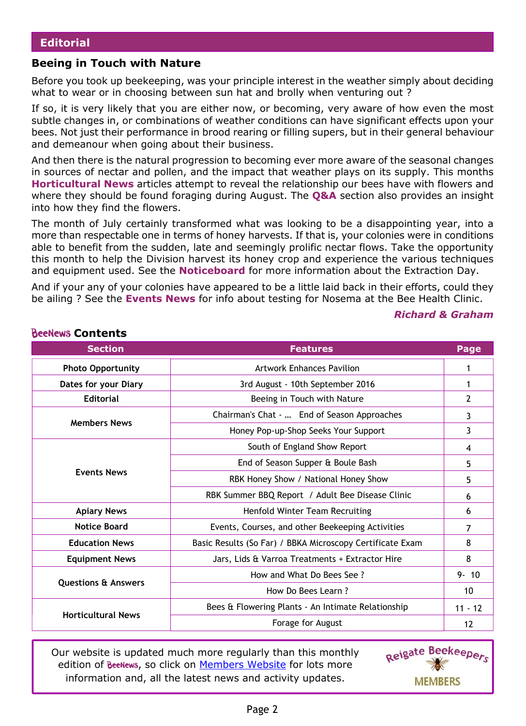### **Beeing in Touch with Nature**

Before you took up beekeeping, was your principle interest in the weather simply about deciding what to wear or in choosing between sun hat and brolly when venturing out ?

If so, it is very likely that you are either now, or becoming, very aware of how even the most subtle changes in, or combinations of weather conditions can have significant effects upon your bees. Not just their performance in brood rearing or filling supers, but in their general behaviour and demeanour when going about their business.

And then there is the natural progression to becoming ever more aware of the seasonal changes in sources of nectar and pollen, and the impact that weather plays on its supply. This months **Horticultural News** articles attempt to reveal the relationship our bees have with flowers and where they should be found foraging during August. The **Q&A** section also provides an insight into how they find the flowers.

The month of July certainly transformed what was looking to be a disappointing year, into a more than respectable one in terms of honey harvests. If that is, your colonies were in conditions able to benefit from the sudden, late and seemingly prolific nectar flows. Take the opportunity this month to help the Division harvest its honey crop and experience the various techniques and equipment used. See the **Noticeboard** for more information about the Extraction Day.

And if your any of your colonies have appeared to be a little laid back in their efforts, could they be ailing ? See the **Events News** for info about testing for Nosema at the Bee Health Clinic.

### *Richard & Graham*

| <b>Section</b>                 | <b>Features</b>                                           |           |
|--------------------------------|-----------------------------------------------------------|-----------|
| <b>Photo Opportunity</b>       | <b>Artwork Enhances Pavilion</b>                          | 1         |
| Dates for your Diary           | 3rd August - 10th September 2016                          |           |
| <b>Editorial</b>               | Beeing in Touch with Nature                               |           |
|                                | Chairman's Chat -  End of Season Approaches               | 3         |
| <b>Members News</b>            | Honey Pop-up-Shop Seeks Your Support                      | 3         |
|                                | South of England Show Report                              | 4         |
|                                | End of Season Supper & Boule Bash                         | 5         |
| <b>Events News</b>             | RBK Honey Show / National Honey Show                      | 5         |
|                                | RBK Summer BBQ Report / Adult Bee Disease Clinic          | 6         |
| <b>Apiary News</b>             | Henfold Winter Team Recruiting                            | 6         |
| <b>Notice Board</b>            | Events, Courses, and other Beekeeping Activities          | 7         |
| <b>Education News</b>          | Basic Results (So Far) / BBKA Microscopy Certificate Exam | 8         |
| <b>Equipment News</b>          | Jars, Lids & Varroa Treatments + Extractor Hire           | 8         |
|                                | How and What Do Bees See?                                 | $9 - 10$  |
| <b>Questions &amp; Answers</b> | How Do Bees Learn?                                        | 10        |
|                                | Bees & Flowering Plants - An Intimate Relationship        | $11 - 12$ |
| <b>Horticultural News</b>      | Forage for August                                         | 12        |

**BeeNews Contents** 

Our website is updated much more regularly than this monthly edition of BeeNews, so click on [Members Website](http://rbkbblog.com) for lots more information and, all the latest news and activity updates.

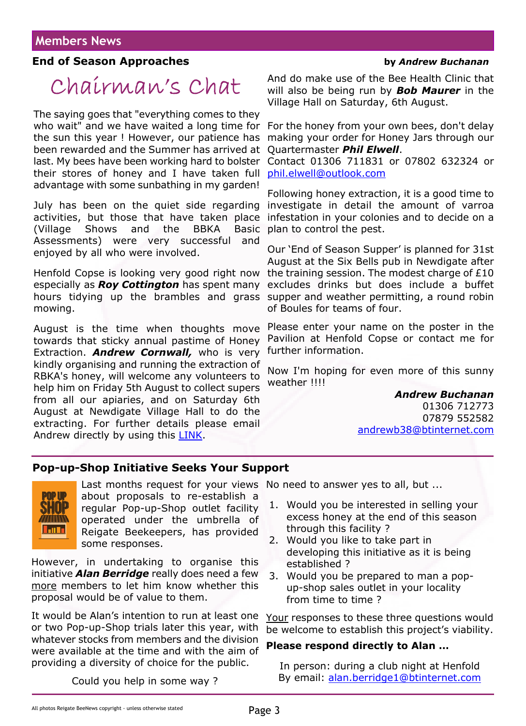### **End of Season Approaches by** *Andrew Buchanan*

# Chairman's Chat

The saying goes that "everything comes to they who wait" and we have waited a long time for the sun this year ! However, our patience has been rewarded and the Summer has arrived at last. My bees have been working hard to bolster their stores of honey and I have taken full advantage with some sunbathing in my garden!

July has been on the quiet side regarding activities, but those that have taken place (Village Shows and the BBKA Basic Assessments) were very successful and enjoyed by all who were involved.

Henfold Copse is looking very good right now especially as *Roy Cottington* has spent many hours tidying up the brambles and grass mowing.

August is the time when thoughts move towards that sticky annual pastime of Honey Extraction. *Andrew Cornwall,* who is very kindly organising and running the extraction of RBKA's honey, will welcome any volunteers to help him on Friday 5th August to collect supers from all our apiaries, and on Saturday 6th August at Newdigate Village Hall to do the extracting. For further details please email Andrew directly by using this [LINK](https://rbkbblog.com/contact-andrew-cornwall-education-coordinator-committee-member/).

And do make use of the Bee Health Clinic that will also be being run by *Bob Maurer* in the Village Hall on Saturday, 6th August.

For the honey from your own bees, don't delay making your order for Honey Jars through our Quartermaster *Phil Elwell*.

Contact 01306 711831 or 07802 632324 or [phil.elwell@outlook.com](mailto:phil.elwell@outlook.com)

Following honey extraction, it is a good time to investigate in detail the amount of varroa infestation in your colonies and to decide on a plan to control the pest.

Our 'End of Season Supper' is planned for 31st August at the Six Bells pub in Newdigate after the training session. The modest charge of £10 excludes drinks but does include a buffet supper and weather permitting, a round robin of Boules for teams of four.

Please enter your name on the poster in the Pavilion at Henfold Copse or contact me for further information.

Now I'm hoping for even more of this sunny weather !!!!

*Andrew Buchanan*

01306 712773 07879 552582 [andrewb38@btinternet.com](mailto:andrewb38@btinternet.com)

### **Pop-up-Shop Initiative Seeks Your Support**



about proposals to re-establish a regular Pop-up-Shop outlet facility operated under the umbrella of

Reigate Beekeepers, has provided some responses.

However, in undertaking to organise this initiative *Alan Berridge* really does need a few more members to let him know whether this proposal would be of value to them.

It would be Alan's intention to run at least one or two Pop-up-Shop trials later this year, with whatever stocks from members and the division were available at the time and with the aim of providing a diversity of choice for the public.

Last months request for your views No need to answer yes to all, but ...

- 1. Would you be interested in selling your excess honey at the end of this season through this facility ?
- 2. Would you like to take part in developing this initiative as it is being established ?
- 3. Would you be prepared to man a popup-shop sales outlet in your locality from time to time ?

Your responses to these three questions would be welcome to establish this project's viability.

### **Please respond directly to Alan …**

In person: during a club night at Henfold By email: [alan.berridge1@btinternet.com](mailto:alan.berridge1@btinternet.com)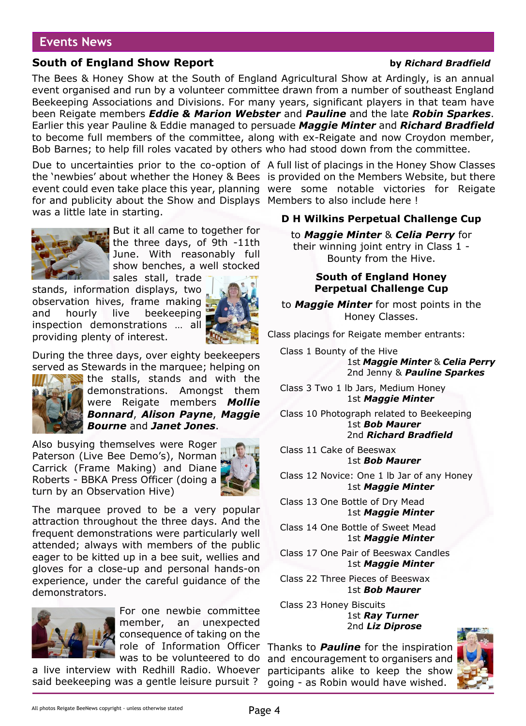### **Events News**

### **South of England Show Report by** *Richard Bradfield*

### The Bees & Honey Show at the South of England Agricultural Show at Ardingly, is an annual event organised and run by a volunteer committee drawn from a number of southeast England Beekeeping Associations and Divisions. For many years, significant players in that team have been Reigate members *Eddie & Marion Webster* and *Pauline* and the late *Robin Sparkes*. Earlier this year Pauline & Eddie managed to persuade *Maggie Minter* and *Richard Bradfield* to become full members of the committee, along with ex-Reigate and now Croydon member, Bob Barnes; to help fill roles vacated by others who had stood down from the committee.

Due to uncertainties prior to the co-option of A full list of placings in the Honey Show Classes the 'newbies' about whether the Honey & Bees is provided on the Members Website, but there event could even take place this year, planning were some notable victories for Reigate for and publicity about the Show and Displays Members to also include here ! was a little late in starting.



But it all came to together for the three days, of 9th -11th June. With reasonably full show benches, a well stocked

sales stall, trade stands, information displays, two observation hives, frame making and hourly live beekeeping inspection demonstrations … all providing plenty of interest.



During the three days, over eighty beekeepers served as Stewards in the marquee; helping on



the stalls, stands and with the demonstrations. Amongst them were Reigate members *Mollie Bonnard*, *Alison Payne*, *Maggie Bourne* and *Janet Jones*.

Also busying themselves were Roger Paterson (Live Bee Demo's), Norman Carrick (Frame Making) and Diane Roberts - BBKA Press Officer (doing a turn by an Observation Hive)



The marquee proved to be a very popular attraction throughout the three days. And the frequent demonstrations were particularly well attended; always with members of the public eager to be kitted up in a bee suit, wellies and gloves for a close-up and personal hands-on experience, under the careful guidance of the demonstrators.



For one newbie committee member, an unexpected consequence of taking on the role of Information Officer was to be volunteered to do

a live interview with Redhill Radio. Whoever said beekeeping was a gentle leisure pursuit ?

### **D H Wilkins Perpetual Challenge Cup**

to *Maggie Minter* & *Celia Perry* for their winning joint entry in Class 1 - Bounty from the Hive.

### **South of England Honey Perpetual Challenge Cup**

to *Maggie Minter* for most points in the Honey Classes.

Class placings for Reigate member entrants:

Class 1 Bounty of the Hive 1st *Maggie Minter* & *Celia Perry* 2nd Jenny & *Pauline Sparkes*

Class 3 Two 1 lb Jars, Medium Honey 1st *Maggie Minter*

Class 10 Photograph related to Beekeeping 1st *Bob Maurer* 2nd *Richard Bradfield*

Class 11 Cake of Beeswax 1st *Bob Maurer*

Class 12 Novice: One 1 lb Jar of any Honey 1st *Maggie Minter*

Class 13 One Bottle of Dry Mead 1st *Maggie Minter*

Class 14 One Bottle of Sweet Mead 1st *Maggie Minter*

Class 17 One Pair of Beeswax Candles 1st *Maggie Minter*

Class 22 Three Pieces of Beeswax 1st *Bob Maurer*

Class 23 Honey Biscuits 1st *Ray Turner* 2nd *Liz Diprose*

Thanks to *Pauline* for the inspiration and encouragement to organisers and participants alike to keep the show going - as Robin would have wished.

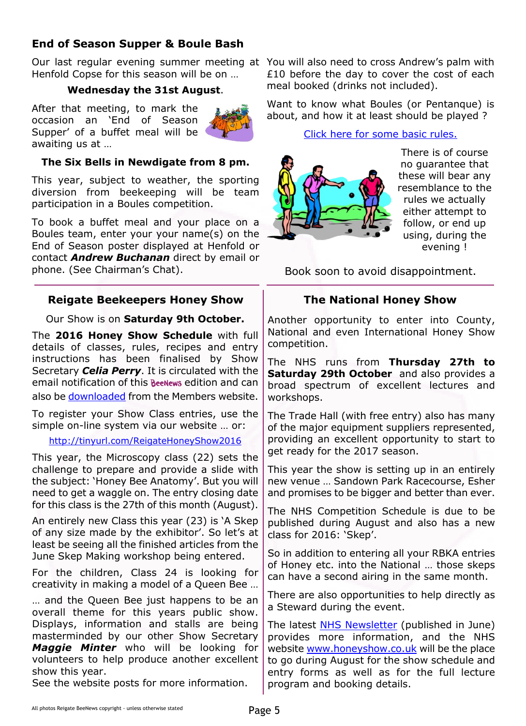# **End of Season Supper & Boule Bash**

Our last regular evening summer meeting at You will also need to cross Andrew's palm with Henfold Copse for this season will be on …

### **Wednesday the 31st August**.

After that meeting, to mark the occasion an 'End of Season Supper' of a buffet meal will be awaiting us at …



### **The Six Bells in Newdigate from 8 pm.**

This year, subject to weather, the sporting diversion from beekeeping will be team participation in a Boules competition.

To book a buffet meal and your place on a Boules team, enter your your name(s) on the End of Season poster displayed at Henfold or contact *Andrew Buchanan* direct by email or phone. (See Chairman's Chat).

### **Reigate Beekeepers Honey Show**

Our Show is on **Saturday 9th October.**

The **2016 Honey Show Schedule** with full details of classes, rules, recipes and entry instructions has been finalised by Show Secretary *Celia Perry*. It is circulated with the email notification of this **Beenews** edition and can also be [downloaded](https://rbkbblog.files.wordpress.com/2016/07/honey-show-schedule-2016-v8.pdf) from the Members website.

To register your Show Class entries, use the simple on-line system via our website … or:

### <http://tinyurl.com/ReigateHoneyShow2016>

This year, the Microscopy class (22) sets the challenge to prepare and provide a slide with the subject: 'Honey Bee Anatomy'. But you will need to get a waggle on. The entry closing date for this class is the 27th of this month (August).

An entirely new Class this year (23) is 'A Skep of any size made by the exhibitor'. So let's at least be seeing all the finished articles from the June Skep Making workshop being entered.

For the children, Class 24 is looking for creativity in making a model of a Queen Bee …

… and the Queen Bee just happens to be an overall theme for this years public show. Displays, information and stalls are being masterminded by our other Show Secretary *Maggie Minter* who will be looking for volunteers to help produce another excellent show this year.

See the website posts for more information.

£10 before the day to cover the cost of each meal booked (drinks not included).

Want to know what Boules (or Pentanque) is about, and how it at least should be played ?

[Click here for some basic rules.](http://rbkbblog.files.wordpress.com/2016/07/brief-rules-boulrule.pdf)



There is of course no guarantee that these will bear any resemblance to the rules we actually either attempt to follow, or end up using, during the evening !

Book soon to avoid disappointment.

### **The National Honey Show**

Another opportunity to enter into County, National and even International Honey Show competition.

The NHS runs from **Thursday 27th to Saturday 29th October** and also provides a broad spectrum of excellent lectures and workshops.

The Trade Hall (with free entry) also has many of the major equipment suppliers represented, providing an excellent opportunity to start to get ready for the 2017 season.

This year the show is setting up in an entirely new venue … Sandown Park Racecourse, Esher and promises to be bigger and better than ever.

The NHS Competition Schedule is due to be published during August and also has a new class for 2016: 'Skep'.

So in addition to entering all your RBKA entries of Honey etc. into the National … those skeps can have a second airing in the same month.

There are also opportunities to help directly as a Steward during the event.

The latest **NHS Newsletter** (published in June) provides more information, and the NHS website [www.honeyshow.co.uk](http://honeyshow.co.uk) will be the place to go during August for the show schedule and entry forms as well as for the full lecture program and booking details.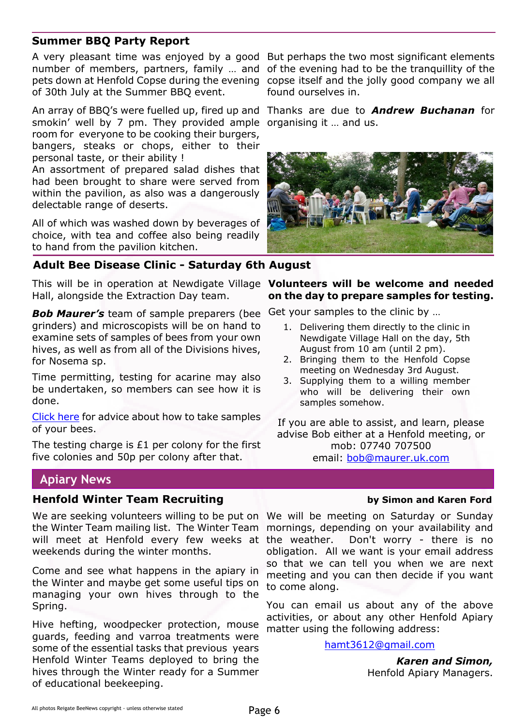### **Summer BBQ Party Report**

A very pleasant time was enjoyed by a good But perhaps the two most significant elements number of members, partners, family … and of the evening had to be the tranquillity of the pets down at Henfold Copse during the evening copse itself and the jolly good company we all of 30th July at the Summer BBQ event.

An array of BBQ's were fuelled up, fired up and Thanks are due to *Andrew Buchanan* for smokin' well by 7 pm. They provided ample organising it … and us. room for everyone to be cooking their burgers, bangers, steaks or chops, either to their personal taste, or their ability !

An assortment of prepared salad dishes that had been brought to share were served from within the pavilion, as also was a dangerously delectable range of deserts.

All of which was washed down by beverages of choice, with tea and coffee also being readily to hand from the pavilion kitchen.

### **Adult Bee Disease Clinic - Saturday 6th August**

This will be in operation at Newdigate Village **Volunteers will be welcome and needed** Hall, alongside the Extraction Day team.

*Bob Maurer's* team of sample preparers (bee grinders) and microscopists will be on hand to examine sets of samples of bees from your own hives, as well as from all of the Divisions hives, for Nosema sp.

Time permitting, testing for acarine may also be undertaken, so members can see how it is done.

[Click here](https://rbkbblog.com/2015/07/01/bee-sampling-techniques/) for advice about how to take samples of your bees.

The testing charge is £1 per colony for the first five colonies and 50p per colony after that.

## **Apiary News**

### **Henfold Winter Team Recruiting Theory of the Union School Assumes Ford** by Simon and Karen Ford

We are seeking volunteers willing to be put on We will be meeting on Saturday or Sunday the Winter Team mailing list. The Winter Team mornings, depending on your availability and will meet at Henfold every few weeks at the weather. weekends during the winter months.

Come and see what happens in the apiary in the Winter and maybe get some useful tips on managing your own hives through to the Spring.

Hive hefting, woodpecker protection, mouse guards, feeding and varroa treatments were some of the essential tasks that previous years Henfold Winter Teams deployed to bring the hives through the Winter ready for a Summer of educational beekeeping.

found ourselves in.



# **on the day to prepare samples for testing.**

Get your samples to the clinic by …

- 1. Delivering them directly to the clinic in Newdigate Village Hall on the day, 5th August from 10 am (until 2 pm).
- 2. Bringing them to the Henfold Copse meeting on Wednesday 3rd August.
- 3. Supplying them to a willing member who will be delivering their own samples somehow.

If you are able to assist, and learn, please advise Bob either at a Henfold meeting, or mob: 07740 707500 email: [bob@maurer.uk.com](mailto:bob@maurer.uk.com)

Don't worry - there is no obligation. All we want is your email address so that we can tell you when we are next meeting and you can then decide if you want to come along.

You can email us about any of the above activities, or about any other Henfold Apiary matter using the following address:

[hamt3612@gmail.com](mailto:hamt3612@gmail.com)

 *Karen and Simon,* Henfold Apiary Managers.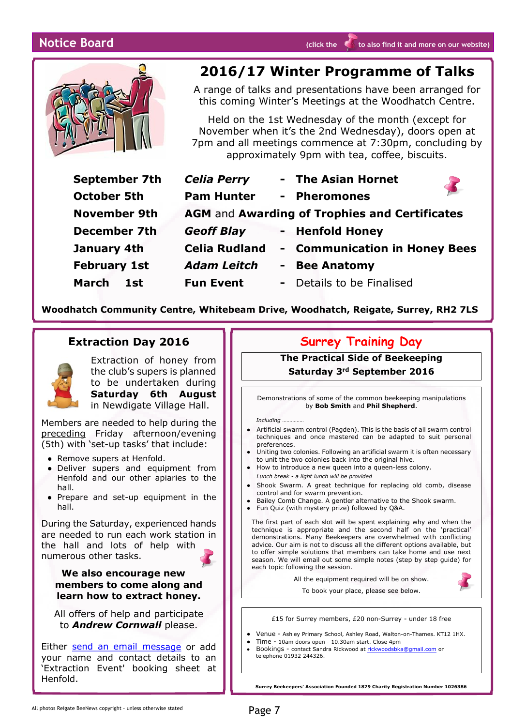

# **2016/17 Winter Programme of Talks**

A range of talks and presentations have been arranged for this coming Winter's Meetings at the Woodhatch Centre.

Held on the 1st Wednesday of the month (except for November when it's the 2nd Wednesday), doors open at 7pm and all meetings commence at 7:30pm, concluding by approximately 9pm with tea, coffee, biscuits.

| September 7th       | <b>Celia Perry</b>                                   | - The Asian Hornet                               |
|---------------------|------------------------------------------------------|--------------------------------------------------|
| <b>October 5th</b>  | <b>Pam Hunter</b>                                    | <b>Pheromones</b><br>$\sim 10^{-1}$              |
| <b>November 9th</b> | <b>AGM and Awarding of Trophies and Certificates</b> |                                                  |
| <b>December 7th</b> | <b>Geoff Blay</b>                                    | - Henfold Honey                                  |
| January 4th         | <b>Celia Rudland</b>                                 | <b>Communication in Honey Bees</b><br>$\sim$ $-$ |
| <b>February 1st</b> | <b>Adam Leitch</b>                                   | <b>Bee Anatomy</b>                               |
| March<br>1st        | <b>Fun Event</b>                                     | Details to be Finalised<br>$\sim$ 10 $\pm$       |
|                     |                                                      |                                                  |

**Woodhatch Community Centre, Whitebeam Drive, Woodhatch, Reigate, Surrey, RH2 7LS**

### **Extraction Day 2016**



Extraction of honey from the club's supers is planned to be undertaken during **Saturday 6th August** in Newdigate Village Hall.

Members are needed to help during the preceding Friday afternoon/evening (5th) with 'set-up tasks' that include:

- Remove supers at Henfold.
- Deliver supers and equipment from Henfold and our other apiaries to the hall.
- Prepare and set-up equipment in the hall.

During the Saturday, experienced hands are needed to run each work station in the hall and lots of help with numerous other tasks.

### **We also encourage new members to come along and learn how to extract honey.**

All offers of help and participate to *Andrew Cornwall* please.

Either [send an email message](http://rbkbblog.com/contact-andrew-cornwall-education-coordinator-committee-member/) or add your name and contact details to an 'Extraction Event' booking sheet at Henfold.

### **Surrey Training Day**

**The Practical Side of Beekeeping Saturday 3rd September 2016**

Demonstrations of some of the common beekeeping manipulations by **Bob Smith** and **Phil Shepherd**.

*Including ……………*

- Artificial swarm control (Pagden). This is the basis of all swarm control techniques and once mastered can be adapted to suit personal preferences.
- Uniting two colonies. Following an artificial swarm it is often necessary
- to unit the two colonies back into the original hive. ● How to introduce a new queen into a queen-less colony.
- *Lunch break a light lunch will be provided*
- Shook Swarm. A great technique for replacing old comb, disease control and for swarm prevention.
- Bailey Comb Change. A gentler alternative to the Shook swarm.
- Fun Quiz (with mystery prize) followed by Q&A.

The first part of each slot will be spent explaining why and when the technique is appropriate and the second half on the 'practical' demonstrations. Many Beekeepers are overwhelmed with conflicting advice. Our aim is not to discuss all the different options available, but to offer simple solutions that members can take home and use next season. We will email out some simple notes (step by step guide) for each topic following the session.

All the equipment required will be on show.

To book your place, please see below.

£15 for Surrey members, £20 non-Surrey - under 18 free

- Venue Ashley Primary School, Ashley Road, Walton-on-Thames. KT12 1HX.
- *●* Time 10am doors open 10.30am start. Close 4pm
- Bookings contact Sandra Rickwood at [rickwoodsbka@gmail.com](mailto:rickwoodsbka@gmail.com) or telephone 01932 244326.

**Surrey Beekeepers' Association Founded 1879 Charity Registration Number 1026386**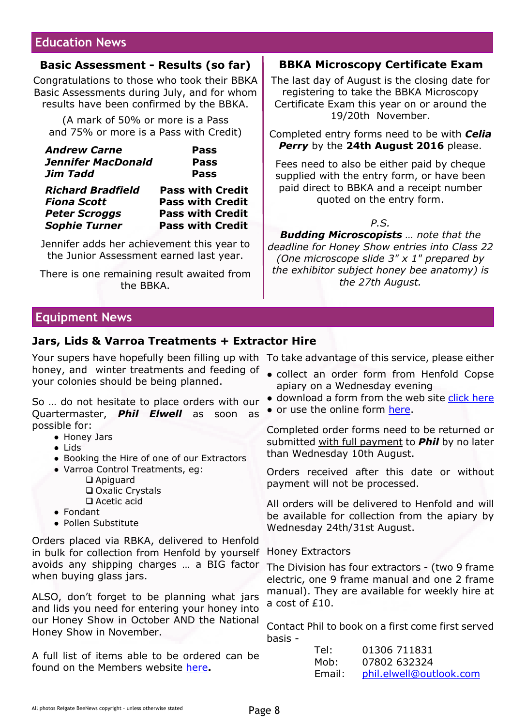### **Education News**

### **Basic Assessment - Results (so far)**

Congratulations to those who took their BBKA Basic Assessments during July, and for whom results have been confirmed by the BBKA.

(A mark of 50% or more is a Pass and 75% or more is a Pass with Credit)

| <b>Andrew Carne</b>       | <b>Pass</b> |
|---------------------------|-------------|
| <b>Jennifer MacDonald</b> | <b>Pass</b> |
| Jim Tadd                  | <b>Pass</b> |
|                           |             |

| <b>Richard Bradfield</b> | <b>Pass with Credit</b> |
|--------------------------|-------------------------|
| <b>Fiona Scott</b>       | <b>Pass with Credit</b> |
| <b>Peter Scroggs</b>     | <b>Pass with Credit</b> |
| <b>Sophie Turner</b>     | <b>Pass with Credit</b> |
|                          |                         |

Jennifer adds her achievement this year to the Junior Assessment earned last year.

There is one remaining result awaited from the BBKA.

### **BBKA Microscopy Certificate Exam**

The last day of August is the closing date for registering to take the BBKA Microscopy Certificate Exam this year on or around the 19/20th November.

Completed entry forms need to be with *Celia Perry* by the **24th August 2016** please.

Fees need to also be either paid by cheque supplied with the entry form, or have been paid direct to BBKA and a receipt number quoted on the entry form.

*P.S.*

*Budding Microscopists … note that the deadline for Honey Show entries into Class 22 (One microscope slide 3" x 1" prepared by the exhibitor subject honey bee anatomy) is the 27th August.*

# **Equipment News**

### **Jars, Lids & Varroa Treatments + Extractor Hire**

Your supers have hopefully been filling up with To take advantage of this service, please either honey, and winter treatments and feeding of your colonies should be being planned.

So … do not hesitate to place orders with our Quartermaster, *Phil Elwell* as soon as possible for:

- Honey Jars
- Lids
- Booking the Hire of one of our Extractors
- Varroa Control Treatments, eg: □ Apiguard
	- □ Oxalic Crystals
	- $\Box$  Acetic acid
- Fondant
- Pollen Substitute

Orders placed via RBKA, delivered to Henfold in bulk for collection from Henfold by yourself avoids any shipping charges … a BIG factor when buying glass jars.

ALSO, don't forget to be planning what jars and lids you need for entering your honey into our Honey Show in October AND the National Honey Show in November.

A full list of items able to be ordered can be found on the Members website [here](https://rbkbblog.com/2016/03/01/equipment-productprice-list/#more-15817)**.**

- collect an order form from Henfold Copse apiary on a Wednesday evening
- download a form from the web site [click here](https://rbkbblog.files.wordpress.com/2016/03/rbka-equipment-order-form1.pdf)
- or use the online form [here.](http://wp.me/P2VGpI-5c0)

Completed order forms need to be returned or submitted with full payment to *Phil* by no later than Wednesday 10th August.

Orders received after this date or without payment will not be processed.

All orders will be delivered to Henfold and will be available for collection from the apiary by Wednesday 24th/31st August.

### Honey Extractors

The Division has four extractors - (two 9 frame electric, one 9 frame manual and one 2 frame manual). They are available for weekly hire at a cost of £10.

Contact Phil to book on a first come first served basis -

| Tel:   | 01306 711831            |
|--------|-------------------------|
| Mob:   | 07802 632324            |
| Email: | phil.elwell@outlook.com |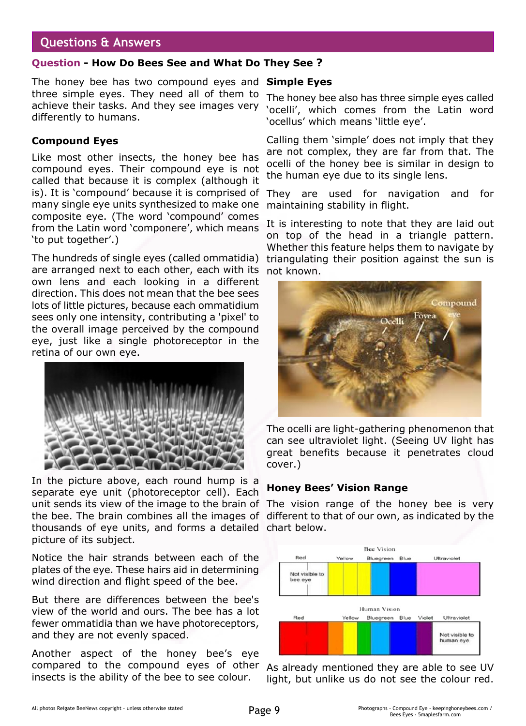### **Questions & Answers**

### **Question - How Do Bees See and What Do They See ?**

The honey bee has two compound eyes and **Simple Eyes** three simple eyes. They need all of them to achieve their tasks. And they see images very differently to humans.

### **Compound Eyes**

Like most other insects, the honey bee has compound eyes. Their compound eye is not called that because it is complex (although it is). It is 'compound' because it is comprised of many single eye units synthesized to make one composite eye. (The word 'compound' comes from the Latin word 'componere', which means 'to put together'.)

The hundreds of single eyes (called ommatidia) are arranged next to each other, each with its own lens and each looking in a different direction. This does not mean that the bee sees lots of little pictures, because each ommatidium sees only one intensity, contributing a 'pixel' to the overall image perceived by the compound eye, just like a single photoreceptor in the retina of our own eye.



In the picture above, each round hump is a separate eye unit (photoreceptor cell). Each unit sends its view of the image to the brain of the bee. The brain combines all the images of different to that of our own, as indicated by the thousands of eye units, and forms a detailed chart below. picture of its subject.

Notice the hair strands between each of the plates of the eye. These hairs aid in determining wind direction and flight speed of the bee.

But there are differences between the bee's view of the world and ours. The bee has a lot fewer ommatidia than we have photoreceptors, and they are not evenly spaced.

Another aspect of the honey bee's eye compared to the compound eyes of other insects is the ability of the bee to see colour.

The honey bee also has three simple eyes called 'ocelli', which comes from the Latin word 'ocellus' which means 'little eye'.

Calling them 'simple' does not imply that they are not complex, they are far from that. The ocelli of the honey bee is similar in design to the human eye due to its single lens.

They are used for navigation and for maintaining stability in flight.

It is interesting to note that they are laid out on top of the head in a triangle pattern. Whether this feature helps them to navigate by triangulating their position against the sun is not known.



The ocelli are light-gathering phenomenon that can see ultraviolet light. (Seeing UV light has great benefits because it penetrates cloud cover.)

### **Honey Bees' Vision Range**

The vision range of the honey bee is very



As already mentioned they are able to see UV light, but unlike us do not see the colour red.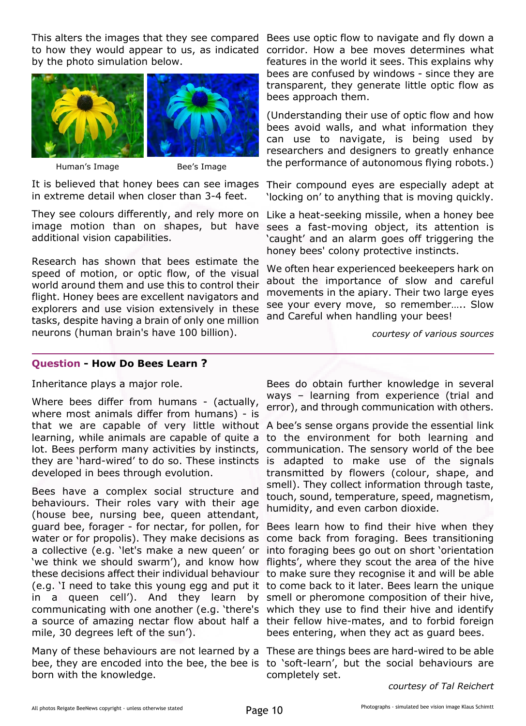This alters the images that they see compared Bees use optic flow to navigate and fly down a to how they would appear to us, as indicated by the photo simulation below.





Human's Image Bee's Image

It is believed that honey bees can see images in extreme detail when closer than 3-4 feet.

They see colours differently, and rely more on image motion than on shapes, but have sees a fast-moving object, its attention is additional vision capabilities.

Research has shown that bees estimate the speed of motion, or optic flow, of the visual world around them and use this to control their flight. Honey bees are excellent navigators and explorers and use vision extensively in these tasks, despite having a brain of only one million neurons (human brain's have 100 billion).

corridor. How a bee moves determines what features in the world it sees. This explains why bees are confused by windows - since they are transparent, they generate little optic flow as bees approach them.

(Understanding their use of optic flow and how bees avoid walls, and what information they can use to navigate, is being used by researchers and designers to greatly enhance the performance of autonomous flying robots.)

Their compound eyes are especially adept at 'locking on' to anything that is moving quickly.

Like a heat-seeking missile, when a honey bee 'caught' and an alarm goes off triggering the honey bees' colony protective instincts.

We often hear experienced beekeepers hark on about the importance of slow and careful movements in the apiary. Their two large eyes see your every move, so remember….. Slow and Careful when handling your bees!

*courtesy of various sources*

### **Question - How Do Bees Learn ?**

Inheritance plays a major role.

Where bees differ from humans - (actually, where most animals differ from humans) - is that we are capable of very little without learning, while animals are capable of quite a lot. Bees perform many activities by instincts, they are 'hard-wired' to do so. These instincts is adapted to make use of the signals developed in bees through evolution.

Bees have a complex social structure and behaviours. Their roles vary with their age (house bee, nursing bee, queen attendant, guard bee, forager - for nectar, for pollen, for water or for propolis). They make decisions as a collective (e.g. 'let's make a new queen' or 'we think we should swarm'), and know how these decisions affect their individual behaviour (e.g. 'I need to take this young egg and put it to come back to it later. Bees learn the unique in a queen cell'). And they learn by communicating with one another (e.g. 'there's which they use to find their hive and identify a source of amazing nectar flow about half a their fellow hive-mates, and to forbid foreign mile, 30 degrees left of the sun').

Many of these behaviours are not learned by a These are things bees are hard-wired to be able bee, they are encoded into the bee, the bee is to 'soft-learn', but the social behaviours are born with the knowledge.

Bees do obtain further knowledge in several ways – learning from experience (trial and error), and through communication with others.

A bee's sense organs provide the essential link to the environment for both learning and communication. The sensory world of the bee transmitted by flowers (colour, shape, and smell). They collect information through taste, touch, sound, temperature, speed, magnetism, humidity, and even carbon dioxide.

Bees learn how to find their hive when they come back from foraging. Bees transitioning into foraging bees go out on short 'orientation flights', where they scout the area of the hive to make sure they recognise it and will be able smell or pheromone composition of their hive, bees entering, when they act as guard bees.

completely set.

*courtesy of Tal Reichert*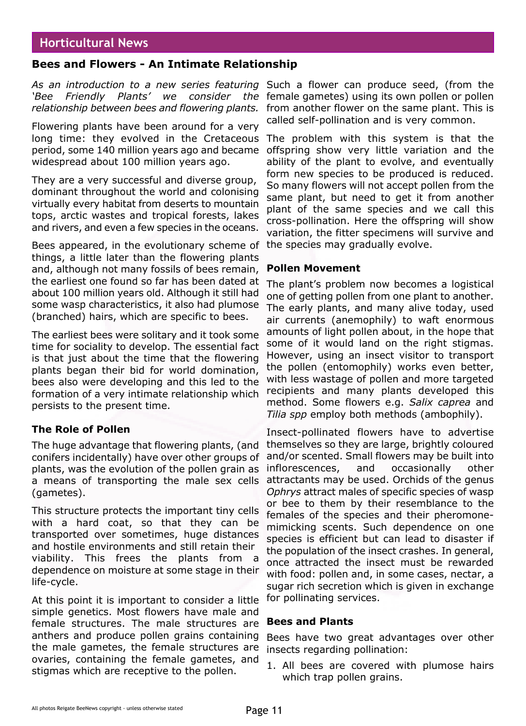### **Horticultural News**

### **Bees and Flowers - An Intimate Relationship**

*As an introduction to a new series featuring* Such a flower can produce seed, (from the *'Bee Friendly Plants' we consider* 

Flowering plants have been around for a very long time: they evolved in the Cretaceous The problem with this system is that the period, some 140 million years ago and became offspring show very little variation and the widespread about 100 million years ago.

They are a very successful and diverse group, dominant throughout the world and colonising virtually every habitat from deserts to mountain tops, arctic wastes and tropical forests, lakes and rivers, and even a few species in the oceans.

Bees appeared, in the evolutionary scheme of things, a little later than the flowering plants and, although not many fossils of bees remain, the earliest one found so far has been dated at about 100 million years old. Although it still had some wasp characteristics, it also had plumose (branched) hairs, which are specific to bees.

The earliest bees were solitary and it took some time for sociality to develop. The essential fact is that just about the time that the flowering plants began their bid for world domination, bees also were developing and this led to the formation of a very intimate relationship which persists to the present time.

### **The Role of Pollen**

The huge advantage that flowering plants, (and conifers incidentally) have over other groups of plants, was the evolution of the pollen grain as a means of transporting the male sex cells (gametes).

This structure protects the important tiny cells with a hard coat, so that they can be transported over sometimes, huge distances and hostile environments and still retain their viability. This frees the plants from dependence on moisture at some stage in their life-cycle.

At this point it is important to consider a little simple genetics. Most flowers have male and female structures. The male structures are anthers and produce pollen grains containing the male gametes, the female structures are ovaries, containing the female gametes, and stigmas which are receptive to the pollen.

relationship between bees and flowering plants. from another flower on the same plant. This is the female gametes) using its own pollen or pollen called self-pollination and is very common.

> ability of the plant to evolve, and eventually form new species to be produced is reduced. So many flowers will not accept pollen from the same plant, but need to get it from another plant of the same species and we call this cross-pollination. Here the offspring will show variation, the fitter specimens will survive and the species may gradually evolve.

### **Pollen Movement**

The plant's problem now becomes a logistical one of getting pollen from one plant to another. The early plants, and many alive today, used air currents (anemophily) to waft enormous amounts of light pollen about, in the hope that some of it would land on the right stigmas. However, using an insect visitor to transport the pollen (entomophily) works even better, with less wastage of pollen and more targeted recipients and many plants developed this method. Some flowers e.g. *Salix caprea* and *Tilia spp* employ both methods (ambophily).

Insect-pollinated flowers have to advertise themselves so they are large, brightly coloured and/or scented. Small flowers may be built into inflorescences, and occasionally other attractants may be used. Orchids of the genus *Ophrys* attract males of specific species of wasp or bee to them by their resemblance to the females of the species and their pheromonemimicking scents. Such dependence on one species is efficient but can lead to disaster if the population of the insect crashes. In general, once attracted the insect must be rewarded with food: pollen and, in some cases, nectar, a sugar rich secretion which is given in exchange for pollinating services.

### **Bees and Plants**

Bees have two great advantages over other insects regarding pollination:

1. All bees are covered with plumose hairs which trap pollen grains.